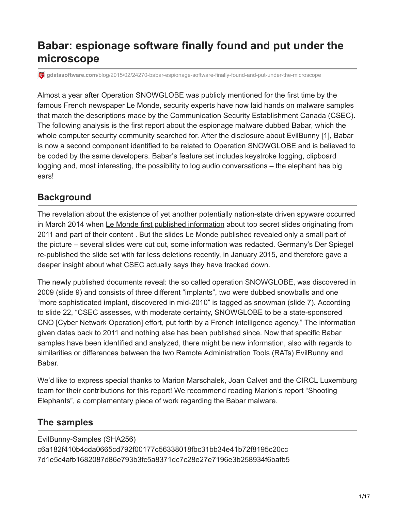## **Babar: espionage software finally found and put under the microscope**

**gdatasoftware.com**[/blog/2015/02/24270-babar-espionage-software-finally-found-and-put-under-the-microscope](https://www.gdatasoftware.com/blog/2015/02/24270-babar-espionage-software-finally-found-and-put-under-the-microscope)

Almost a year after Operation SNOWGLOBE was publicly mentioned for the first time by the famous French newspaper Le Monde, security experts have now laid hands on malware samples that match the descriptions made by the Communication Security Establishment Canada (CSEC). The following analysis is the first report about the espionage malware dubbed Babar, which the whole computer security community searched for. After the disclosure about EvilBunny [1], Babar is now a second component identified to be related to Operation SNOWGLOBE and is believed to be coded by the same developers. Babar's feature set includes keystroke logging, clipboard logging and, most interesting, the possibility to log audio conversations – the elephant has big ears!

## **Background**

The revelation about the existence of yet another potentially nation-state driven spyware occurred in March 2014 when [Le Monde first published information](http://www.lemonde.fr/international/article/2014/03/21/quand-les-canadiens-partent-en-chasse-de-babar_4387233_3210.html) about top secret slides originating from 2011 and part of their content . But the slides Le Monde published revealed only a small part of the picture – several slides were cut out, some information was redacted. Germany's Der Spiegel re-published the slide set with far less deletions recently, in January 2015, and therefore gave a deeper insight about what CSEC actually says they have tracked down.

The newly published documents reveal: the so called operation SNOWGLOBE, was discovered in 2009 (slide 9) and consists of three different "implants", two were dubbed snowballs and one "more sophisticated implant, discovered in mid-2010" is tagged as snowman (slide 7). According to slide 22, "CSEC assesses, with moderate certainty, SNOWGLOBE to be a state-sponsored CNO [Cyber Network Operation] effort, put forth by a French intelligence agency." The information given dates back to 2011 and nothing else has been published since. Now that specific Babar samples have been identified and analyzed, there might be new information, also with regards to similarities or differences between the two Remote Administration Tools (RATs) EvilBunny and Babar.

We'd like to express special thanks to Marion Marschalek, Joan Calvet and the CIRCL Luxemburg [team for their contributions for this report! We recommend reading Marion's report "Shooting](https://drive.google.com/a/cyphort.com/file/d/0B9Mrr-en8FX4dzJqLWhDblhseTA/) Elephants", a complementary piece of work regarding the Babar malware.

## **The samples**

EvilBunny-Samples (SHA256) c6a182f410b4cda0665cd792f00177c56338018fbc31bb34e41b72f8195c20cc 7d1e5c4afb1682087d86e793b3fc5a8371dc7c28e27e7196e3b258934f6bafb5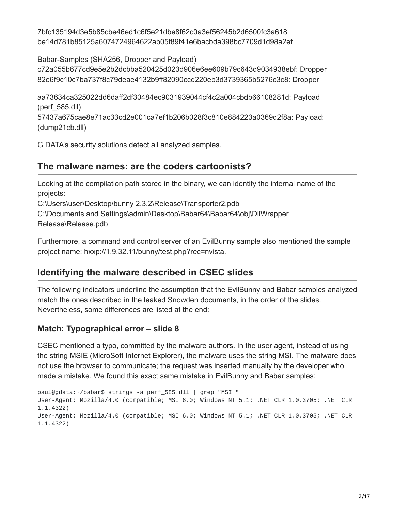7bfc135194d3e5b85cbe46ed1c6f5e21dbe8f62c0a3ef56245b2d6500fc3a618 be14d781b85125a6074724964622ab05f89f41e6bacbda398bc7709d1d98a2ef

Babar-Samples (SHA256, Dropper and Payload) c72a055b677cd9e5e2b2dcbba520425d023d906e6ee609b79c643d9034938ebf: Dropper

82e6f9c10c7ba737f8c79deae4132b9ff82090ccd220eb3d3739365b5276c3c8: Dropper

aa73634ca325022dd6daff2df30484ec9031939044cf4c2a004cbdb66108281d: Payload (perf\_585.dll)

57437a675cae8e71ac33cd2e001ca7ef1b206b028f3c810e884223a0369d2f8a: Payload: (dump21cb.dll)

G DATA's security solutions detect all analyzed samples.

## **The malware names: are the coders cartoonists?**

Looking at the compilation path stored in the binary, we can identify the internal name of the projects:

C:\Users\user\Desktop\bunny 2.3.2\Release\Transporter2.pdb

C:\Documents and Settings\admin\Desktop\Babar64\Babar64\obj\DllWrapper Release\Release.pdb

Furthermore, a command and control server of an EvilBunny sample also mentioned the sample project name: hxxp://1.9.32.11/bunny/test.php?rec=nvista.

## **Identifying the malware described in CSEC slides**

The following indicators underline the assumption that the EvilBunny and Babar samples analyzed match the ones described in the leaked Snowden documents, in the order of the slides. Nevertheless, some differences are listed at the end:

### **Match: Typographical error – slide 8**

CSEC mentioned a typo, committed by the malware authors. In the user agent, instead of using the string MSIE (MicroSoft Internet Explorer), the malware uses the string MSI. The malware does not use the browser to communicate; the request was inserted manually by the developer who made a mistake. We found this exact same mistake in EvilBunny and Babar samples:

```
paul@gdata:~/babar$ strings -a perf_585.dll | grep "MSI "
User-Agent: Mozilla/4.0 (compatible; MSI 6.0; Windows NT 5.1; .NET CLR 1.0.3705; .NET CLR
1.1.4322)
User-Agent: Mozilla/4.0 (compatible; MSI 6.0; Windows NT 5.1; .NET CLR 1.0.3705; .NET CLR
1.1.4322)
```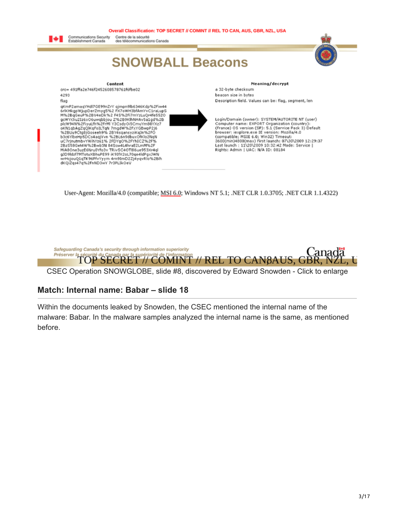#### Overall Classification: TOP SECRET // COMINT // REL TO CAN, AUS, GBR, NZL, USA



Centre de la sécurité<br>des télécommunications Canada

## **SNOWBALL Beacons**





Meaning/decrypt

a 32-byte checksum beacon size in bytes Description field. Values can be: flag, segment, len

Login/Domain (owner): SYSTEM/AUTORITE NT (user) Computer name: EXPORT Organization (country):<br>(France) OS version (SP): 5.1 (Service Pack 3) Default browser: iexplore.exe IE version: Mozilla/4.0 (compatible; MSIE 6.0; Win32) Timeout:<br>3600(min)4800(max) First launch: 07\30\2009 12:29:37 Last launch : 11\20\2009 10:32:42 Mode: Service |<br>Rights: Admin | UAC: N/A ID: 08184

User-Agent: Mozilla/4.0 (compatible; MSI 6.0; Windows NT 5.1; .NET CLR 1.0.3705; .NET CLR 1.1.4322)



#### **Match: Internal name: Babar – slide 18**

Within the documents leaked by Snowden, the CSEC mentioned the internal name of the malware: Babar. In the malware samples analyzed the internal name is the same, as mentioned before.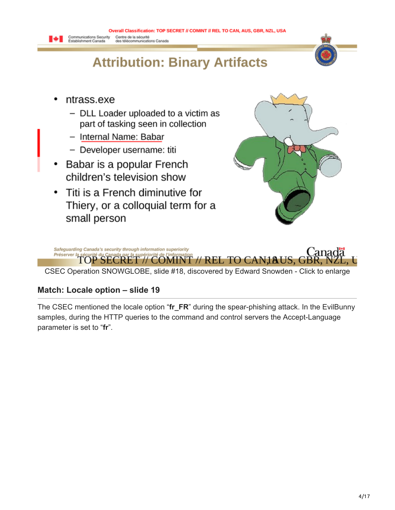

- ntrass.exe  $\bullet$ 
	- $-$  DLL Loader uploaded to a victim as part of tasking seen in collection
	- Internal Name: Babar
	- Developer username: titi
- Babar is a popular French children's television show
- Titi is a French diminutive for  $\bullet$ Thiery, or a colloquial term for a small person





#### **Match: Locale option – slide 19**

The CSEC mentioned the locale option "**fr\_FR**" during the spear-phishing attack. In the EvilBunny samples, during the HTTP queries to the command and control servers the Accept-Language parameter is set to "**fr**".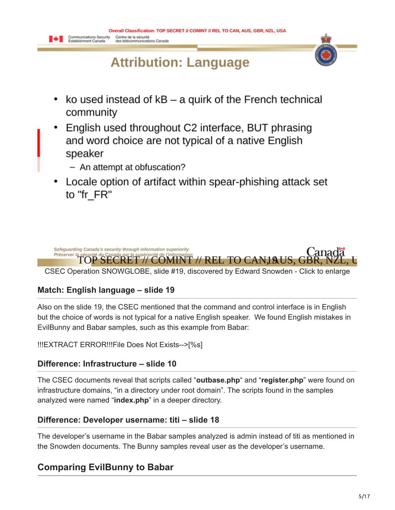# **Attribution: Language**



- $\bullet$ ko used instead of  $kB$  – a quirk of the French technical community
- English used throughout C2 interface, BUT phrasing and word choice are not typical of a native English speaker
	- An attempt at obfuscation?
- Locale option of artifact within spear-phishing attack set to "fr FR"



### **Match: English language – slide 19**

Also on the slide 19, the CSEC mentioned that the command and control interface is in English but the choice of words is not typical for a native English speaker. We found English mistakes in EvilBunny and Babar samples, such as this example from Babar:

!!!EXTRACT ERROR!!!File Does Not Exists-->[%s]

### **Difference: Infrastructure – slide 10**

The CSEC documents reveal that scripts called "**outbase.php**" and "**register.php**" were found on infrastructure domains, "in a directory under root domain". The scripts found in the samples analyzed were named "**index.php**" in a deeper directory.

### **Difference: Developer username: titi – slide 18**

The developer's username in the Babar samples analyzed is admin instead of titi as mentioned in the Snowden documents. The Bunny samples reveal user as the developer's username.

## **Comparing EvilBunny to Babar**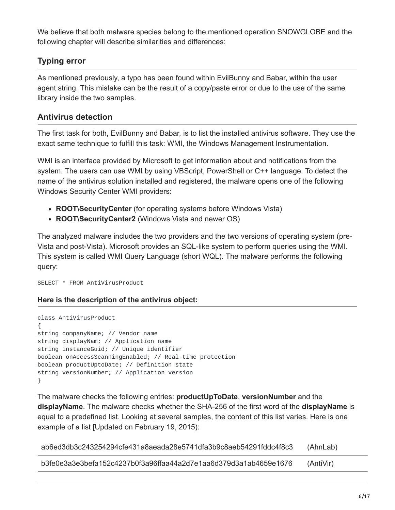We believe that both malware species belong to the mentioned operation SNOWGLOBE and the following chapter will describe similarities and differences:

## **Typing error**

As mentioned previously, a typo has been found within EvilBunny and Babar, within the user agent string. This mistake can be the result of a copy/paste error or due to the use of the same library inside the two samples.

### **Antivirus detection**

The first task for both, EvilBunny and Babar, is to list the installed antivirus software. They use the exact same technique to fulfill this task: WMI, the Windows Management Instrumentation.

WMI is an interface provided by Microsoft to get information about and notifications from the system. The users can use WMI by using VBScript, PowerShell or C++ language. To detect the name of the antivirus solution installed and registered, the malware opens one of the following Windows Security Center WMI providers:

- **ROOT\SecurityCenter** (for operating systems before Windows Vista)
- **ROOT\SecurityCenter2** (Windows Vista and newer OS)

The analyzed malware includes the two providers and the two versions of operating system (pre-Vista and post-Vista). Microsoft provides an SQL-like system to perform queries using the WMI. This system is called WMI Query Language (short WQL). The malware performs the following query:

SELECT \* FROM AntiVirusProduct

#### **Here is the description of the antivirus object:**

```
class AntiVirusProduct
{
string companyName; // Vendor name
string displayNam; // Application name
string instanceGuid; // Unique identifier
boolean onAccessScanningEnabled; // Real-time protection
boolean productUptoDate; // Definition state
string versionNumber; // Application version
}
```
The malware checks the following entries: **productUpToDate**, **versionNumber** and the **displayName**. The malware checks whether the SHA-256 of the first word of the **displayName** is equal to a predefined list. Looking at several samples, the content of this list varies. Here is one example of a list [Updated on February 19, 2015):

| ab6ed3db3c243254294cfe431a8aeada28e5741dfa3b9c8aeb54291fddc4f8c3  | (AhnLab)  |
|-------------------------------------------------------------------|-----------|
| _b3fe0e3a3e3befa152c4237b0f3a96ffaa44a2d7e1aa6d379d3a1ab4659e1676 | (AntiVir) |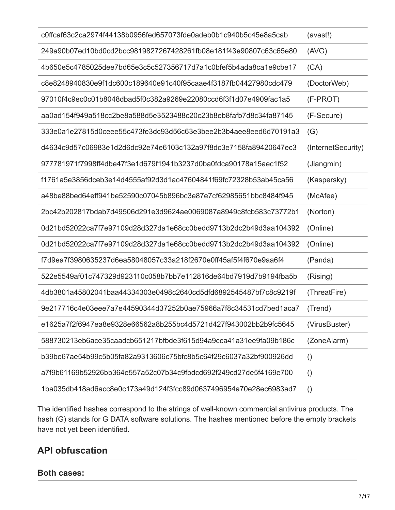| c0ffcaf63c2ca2974f44138b0956fed657073fde0adeb0b1c940b5c45e8a5cab | (avast!)           |
|------------------------------------------------------------------|--------------------|
| 249a90b07ed10bd0cd2bcc9819827267428261fb08e181f43e90807c63c65e80 | (AVG)              |
| 4b650e5c4785025dee7bd65e3c5c527356717d7a1c0bfef5b4ada8ca1e9cbe17 | (CA)               |
| c8e8248940830e9f1dc600c189640e91c40f95caae4f3187fb04427980cdc479 | (DoctorWeb)        |
| 97010f4c9ec0c01b8048dbad5f0c382a9269e22080ccd6f3f1d07e4909fac1a5 | (F-PROT)           |
| aa0ad154f949a518cc2be8a588d5e3523488c20c23b8eb8fafb7d8c34fa87145 | (F-Secure)         |
| 333e0a1e27815d0ceee55c473fe3dc93d56c63e3bee2b3b4aee8eed6d70191a3 | (G)                |
| d4634c9d57c06983e1d2d6dc92e74e6103c132a97f8dc3e7158fa89420647ec3 | (InternetSecurity) |
| 977781971f7998ff4dbe47f3e1d679f1941b3237d0ba0fdca90178a15aec1f52 | (Jiangmin)         |
| f1761a5e3856dceb3e14d4555af92d3d1ac47604841f69fc72328b53ab45ca56 | (Kaspersky)        |
| a48be88bed64eff941be52590c07045b896bc3e87e7cf62985651bbc8484f945 | (McAfee)           |
| 2bc42b202817bdab7d49506d291e3d9624ae0069087a8949c8fcb583c73772b1 | (Norton)           |
| 0d21bd52022ca7f7e97109d28d327da1e68cc0bedd9713b2dc2b49d3aa104392 | (Online)           |
| 0d21bd52022ca7f7e97109d28d327da1e68cc0bedd9713b2dc2b49d3aa104392 | (Online)           |
| f7d9ea7f3980635237d6ea58048057c33a218f2670e0ff45af5f4f670e9aa6f4 | (Panda)            |
| 522e5549af01c747329d923110c058b7bb7e112816de64bd7919d7b9194fba5b | (Rising)           |
| 4db3801a45802041baa44334303e0498c2640cd5dfd6892545487bf7c8c9219f | (ThreatFire)       |
| 9e217716c4e03eee7a7e44590344d37252b0ae75966a7f8c34531cd7bed1aca7 | (Trend)            |
| e1625a7f2f6947ea8e9328e66562a8b255bc4d5721d427f943002bb2b9fc5645 | (VirusBuster)      |
| 588730213eb6ace35caadcb651217bfbde3f615d94a9cca41a31ee9fa09b186c | (ZoneAlarm)        |
| b39be67ae54b99c5b05fa82a9313606c75bfc8b5c64f29c6037a32bf900926dd | $\left( \right)$   |
| a7f9b61169b52926bb364e557a52c07b34c9fbdcd692f249cd27de5f4169e700 | $\left( \right)$   |
| 1ba035db418ad6acc8e0c173a49d124f3fcc89d0637496954a70e28ec6983ad7 | $\left( \right)$   |

The identified hashes correspond to the strings of well-known commercial antivirus products. The hash (G) stands for G DATA software solutions. The hashes mentioned before the empty brackets have not yet been identified.

## **API obfuscation**

#### **Both cases:**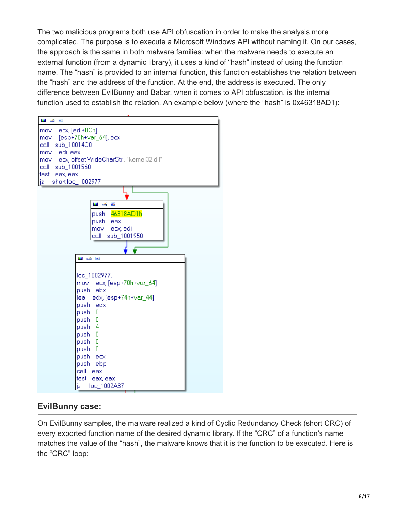The two malicious programs both use API obfuscation in order to make the analysis more complicated. The purpose is to execute a Microsoft Windows API without naming it. On our cases, the approach is the same in both malware families: when the malware needs to execute an external function (from a dynamic library), it uses a kind of "hash" instead of using the function name. The "hash" is provided to an internal function, this function establishes the relation between the "hash" and the address of the function. At the end, the address is executed. The only difference between EvilBunny and Babar, when it comes to API obfuscation, is the internal function used to establish the relation. An example below (where the "hash" is 0x46318AD1):



### **EvilBunny case:**

On EvilBunny samples, the malware realized a kind of Cyclic Redundancy Check (short CRC) of every exported function name of the desired dynamic library. If the "CRC" of a function's name matches the value of the "hash", the malware knows that it is the function to be executed. Here is the "CRC" loop: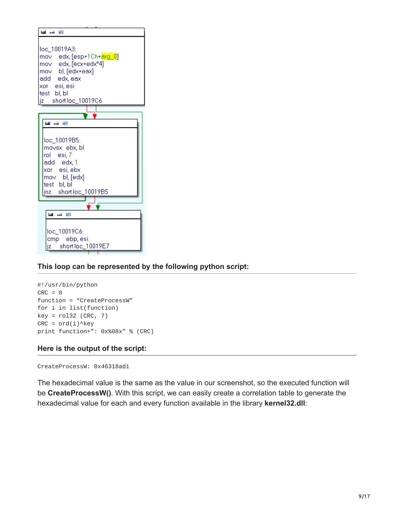

#### **This loop can be represented by the following python script:**

```
#!/usr/bin/python
CRC = 0function = "CreateProcessW"
for i in list(function)
key = rolls2 (CRC, 7)CRC = ord(i)^{\wedge}keyprint function+": 0x%08x" % (CRC)
```
#### **Here is the output of the script:**

```
CreateProcessW: 0x46318ad1
```
The hexadecimal value is the same as the value in our screenshot, so the executed function will be **CreateProcessW()**. With this script, we can easily create a correlation table to generate the hexadecimal value for each and every function available in the library **kernel32.dll**: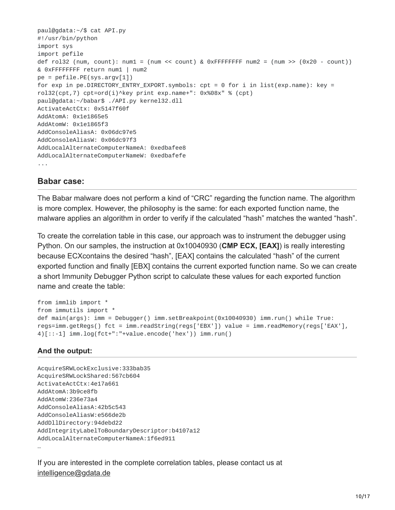```
paul@gdata:~/$ cat API.py
#!/usr/bin/python
import sys
import pefile
def rol32 (num, count): num1 = (num \le count) & 0xFFFFFFFF num2 = (num \ge (0x20 - count))& 0xFFFFFFFF return num1 | num2
pe = pefile.PE(sys.argv[1])
for exp in pe.DIRECTORY_ENTRY_EXPORT.symbols: cpt = 0 for i in list(exp.name): key =
rol32(cpt,7) cpt=ord(i)^key print exp.name+": 0x%08x" % (cpt)
paul@gdata:~/babar$ ./API.py kernel32.dll
ActivateActCtx: 0x5147f60f
AddAtomA: 0x1e1865e5
AddAtomW: 0x1e1865f3
AddConsoleAliasA: 0x06dc97e5
AddConsoleAliasW: 0x06dc97f3
AddLocalAlternateComputerNameA: 0xedbafee8
AddLocalAlternateComputerNameW: 0xedbafefe
...
```
#### **Babar case:**

The Babar malware does not perform a kind of "CRC" regarding the function name. The algorithm is more complex. However, the philosophy is the same: for each exported function name, the malware applies an algorithm in order to verify if the calculated "hash" matches the wanted "hash".

To create the correlation table in this case, our approach was to instrument the debugger using Python. On our samples, the instruction at 0x10040930 (**CMP ECX, [EAX]**) is really interesting because ECXcontains the desired "hash", [EAX] contains the calculated "hash" of the current exported function and finally [EBX] contains the current exported function name. So we can create a short Immunity Debugger Python script to calculate these values for each exported function name and create the table:

```
from immlib import *
from immutils import *
def main(args): imm = Debugger() imm.setBreakpoint(0x10040930) imm.run() while True:
regs=imm.getRegs() fct = imm.readString(regs['EBX']) value = imm.readMemory(regs['EAX'],
4)[::-1] imm.log(fct+":"+value.encode('hex')) imm.run()
```
#### **And the output:**

```
AcquireSRWLockExclusive:333bab35
AcquireSRWLockShared:567cb604
ActivateActCtx:4e17a661
AddAtomA:3b9ce8fb
AddAtomW:236e73a4
AddConsoleAliasA:42b5c543
AddConsoleAliasW:e566de2b
AddDllDirectory:94debd22
AddIntegrityLabelToBoundaryDescriptor:b4107a12
AddLocalAlternateComputerNameA:1f6ed911
…
```
If you are interested in the complete correlation tables, please contact us at intelligence@gdata.de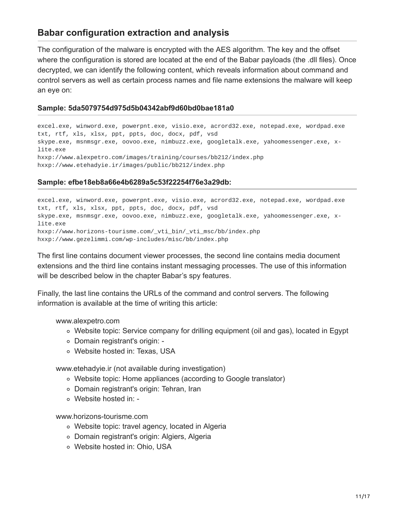## **Babar configuration extraction and analysis**

The configuration of the malware is encrypted with the AES algorithm. The key and the offset where the configuration is stored are located at the end of the Babar payloads (the .dll files). Once decrypted, we can identify the following content, which reveals information about command and control servers as well as certain process names and file name extensions the malware will keep an eye on:

#### **Sample: 5da5079754d975d5b04342abf9d60bd0bae181a0**

excel.exe, winword.exe, powerpnt.exe, visio.exe, acrord32.exe, notepad.exe, wordpad.exe txt, rtf, xls, xlsx, ppt, ppts, doc, docx, pdf, vsd skype.exe, msnmsgr.exe, oovoo.exe, nimbuzz.exe, googletalk.exe, yahoomessenger.exe, xlite.exe hxxp://www.alexpetro.com/images/training/courses/bb212/index.php hxxp://www.etehadyie.ir/images/public/bb212/index.php

#### **Sample: efbe18eb8a66e4b6289a5c53f22254f76e3a29db:**

excel.exe, winword.exe, powerpnt.exe, visio.exe, acrord32.exe, notepad.exe, wordpad.exe txt, rtf, xls, xlsx, ppt, ppts, doc, docx, pdf, vsd skype.exe, msnmsgr.exe, oovoo.exe, nimbuzz.exe, googletalk.exe, yahoomessenger.exe, xlite.exe hxxp://www.horizons-tourisme.com/\_vti\_bin/\_vti\_msc/bb/index.php hxxp://www.gezelimmi.com/wp-includes/misc/bb/index.php

The first line contains document viewer processes, the second line contains media document extensions and the third line contains instant messaging processes. The use of this information will be described below in the chapter Babar's spy features.

Finally, the last line contains the URLs of the command and control servers. The following information is available at the time of writing this article:

www.alexpetro.com

- Website topic: Service company for drilling equipment (oil and gas), located in Egypt
- Domain registrant's origin: -
- Website hosted in: Texas, USA

www.etehadyie.ir (not available during investigation)

- Website topic: Home appliances (according to Google translator)
- Domain registrant's origin: Tehran, Iran
- Website hosted in: -

www.horizons-tourisme.com

- Website topic: travel agency, located in Algeria
- Domain registrant's origin: Algiers, Algeria
- Website hosted in: Ohio, USA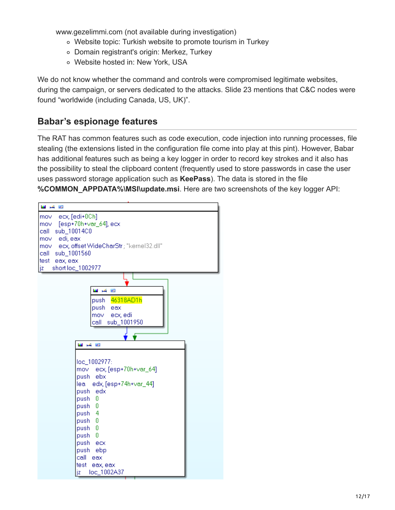www.gezelimmi.com (not available during investigation)

- Website topic: Turkish website to promote tourism in Turkey
- Domain registrant's origin: Merkez, Turkey
- Website hosted in: New York, USA

We do not know whether the command and controls were compromised legitimate websites, during the campaign, or servers dedicated to the attacks. Slide 23 mentions that C&C nodes were found "worldwide (including Canada, US, UK)".

## **Babar's espionage features**

The RAT has common features such as code execution, code injection into running processes, file stealing (the extensions listed in the configuration file come into play at this pint). However, Babar has additional features such as being a key logger in order to record key strokes and it also has the possibility to steal the clipboard content (frequently used to store passwords in case the user uses password storage application such as **KeePass**). The data is stored in the file **%COMMON\_APPDATA%\MSI\update.msi**. Here are two screenshots of the key logger API:

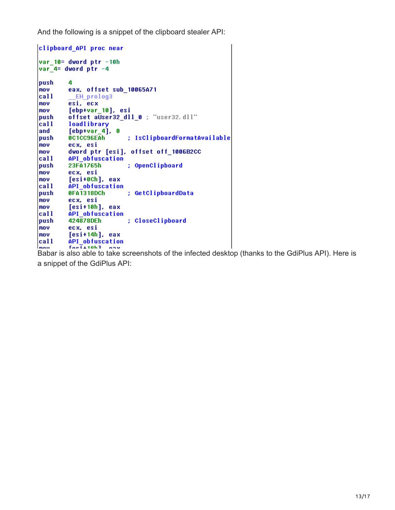And the following is a snippet of the clipboard stealer API:

| clipboard_API proc near     |                                                   |  |  |  |  |
|-----------------------------|---------------------------------------------------|--|--|--|--|
| var $10 =$ dword ptr $-10h$ |                                                   |  |  |  |  |
|                             | var $4$ = dword ptr $-4$                          |  |  |  |  |
|                             |                                                   |  |  |  |  |
| push                        | 4                                                 |  |  |  |  |
| <b>MOV</b>                  | eax, offset sub_10065A71                          |  |  |  |  |
| call                        | EH prolog3                                        |  |  |  |  |
| mov                         | esi, ecx                                          |  |  |  |  |
| <b>INOV</b>                 | [ebp+var_10], esi                                 |  |  |  |  |
| push                        | offset aUser32_dll_0 ; "user32.dll"               |  |  |  |  |
| call                        | loadlibrary                                       |  |  |  |  |
| land                        | [ebp+var 4], 0                                    |  |  |  |  |
| push                        | ; IsClipboardFormatAvailable<br><b>8C1CC96EAh</b> |  |  |  |  |
| mov                         | ecx. esi                                          |  |  |  |  |
| <b>nov</b>                  | dword ptr [esi], offset off 1006B2CC              |  |  |  |  |
| call                        | API obfuscation                                   |  |  |  |  |
| push                        | 23F41765h<br>; OpenClipboard                      |  |  |  |  |
| mov                         | ecx. esi                                          |  |  |  |  |
| <b>MOV</b>                  | [esi+0Ch], eax                                    |  |  |  |  |
| call                        | API obfuscation                                   |  |  |  |  |
| push                        | 0FA1318DCh<br>; GetClipboardData                  |  |  |  |  |
| mov                         | ecx. esi                                          |  |  |  |  |
| <b>MOV</b>                  | [esi+10h], eax                                    |  |  |  |  |
| call                        | API obfuscation                                   |  |  |  |  |
| push                        | ; CloseClipboard<br>424878DEh                     |  |  |  |  |
| <b>mov</b>                  | ecx, esi                                          |  |  |  |  |
| <b>nov</b>                  | [esi+14h], eax                                    |  |  |  |  |
| call                        | API obfuscation                                   |  |  |  |  |
| mou                         | Toe <sub>1</sub> 10h1<br>nn u                     |  |  |  |  |

Babar is also able to take screenshots of the infected desktop (thanks to the GdiPlus API). Here is a snippet of the GdiPlus API: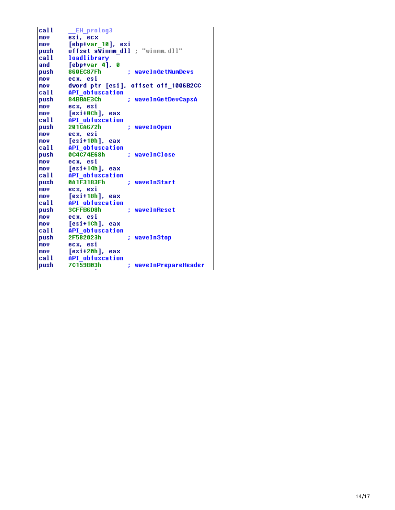| call       | <b>EH prolog3</b>                    |
|------------|--------------------------------------|
| mov        | esi, ecx                             |
| mov        | [ebp+var_10], esi                    |
| push       | offset aWinmm dll ; "winmm.dll"      |
| call       | loadlibrary                          |
| and        | $[$ ebp+var 4 $]$ , 0                |
| push       | 860FC87Fh<br>; waveInGetNumDevs      |
| <b>MOV</b> | ecx. esi                             |
| mov        | dword ptr [esi], offset off_1006B2CC |
| call       | API obfuscation                      |
| push       | 84BBAE3Ch<br>; waveInGetDevCapsA     |
| mov        | ecx. esi                             |
| mov        | [esi+0Ch], eax                       |
| call       | API obfuscation                      |
| push       | 201CA672h<br>; waveInOpen            |
| mov        | ecx, esi                             |
| mov        | [esi+10h], eax                       |
| call       | API obfuscation                      |
| push       | 0C4C74E68h<br>: waveInClose          |
| mov        | ecx, esi                             |
| mov        | [esi+14h], eax                       |
| call       | API obfuscation                      |
| push       | 041F3183Fh<br>: waveInStart          |
| mnu        | ecx. esi                             |
| mov        | [esi+18h], eax                       |
| call       | API obfuscation                      |
| push       | 3CFFB6D8h<br>; waveInReset           |
| mov        | ecx, esi                             |
| mov        | [esi+1Ch], eax                       |
| call       | API obfuscation                      |
| push       | 2F582023h<br>waveInStop              |
| mov        | ecx. esi                             |
| <b>MOV</b> | [esi+20h], eax                       |
| call       | API obfuscation                      |
| push       | 7C159B03h<br>waveInPrepareHeader     |
|            |                                      |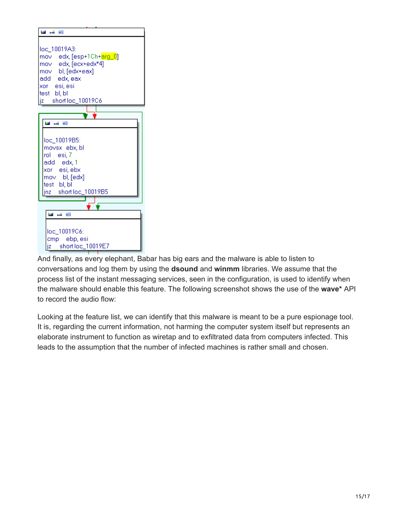

And finally, as every elephant, Babar has big ears and the malware is able to listen to conversations and log them by using the **dsound** and **winmm** libraries. We assume that the process list of the instant messaging services, seen in the configuration, is used to identify when the malware should enable this feature. The following screenshot shows the use of the **wave\*** API to record the audio flow:

Looking at the feature list, we can identify that this malware is meant to be a pure espionage tool. It is, regarding the current information, not harming the computer system itself but represents an elaborate instrument to function as wiretap and to exfiltrated data from computers infected. This leads to the assumption that the number of infected machines is rather small and chosen.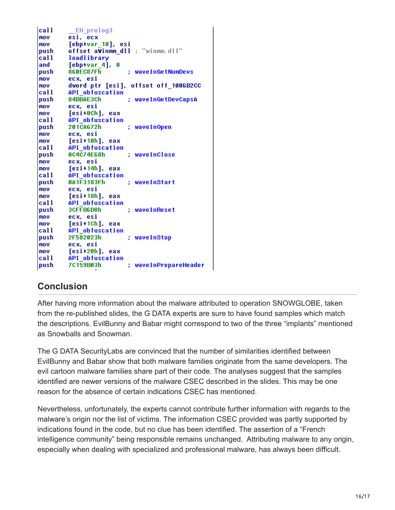| call        | <b>EH</b> prolog3                    |  |
|-------------|--------------------------------------|--|
| mov         | esi, ecx                             |  |
| mov         | [ebp+var 10], esi                    |  |
| <b>push</b> | offset aWinmm_dll ; "winmm.dll"      |  |
| call        | loadlibrary                          |  |
| and         | [ebp+var 4],<br>Ø                    |  |
| push        | 860EC87Fh<br>; waveInGetNumDevs      |  |
| mov         | ecx. esi                             |  |
| mov         | dword ptr [esi], offset off 1006B2CC |  |
| call        | API obfuscation                      |  |
| push        | 84BBAE3Ch<br>; waveInGetDevCapsA     |  |
| mov         | ecx. esi                             |  |
| mov         | [esi+0Ch], eax                       |  |
| call        | API obfuscation                      |  |
| <b>push</b> | 201CA672h<br>waveInOpen              |  |
| mov         | ecx. esi                             |  |
| mov         | [esi+10h], eax                       |  |
| call        | API obfuscation                      |  |
| push        | 0C4C74E68h<br>waveInClose            |  |
| mov         | ecx, esi                             |  |
| <b>nov</b>  | [esi+14h], eax                       |  |
| <b>call</b> | API obfuscation                      |  |
| push        | 041F3183Fh<br>waveInStart            |  |
| mov         | ecx. esi                             |  |
| mov         | [esi+18h], eax                       |  |
| <b>call</b> | API obfuscation                      |  |
| <b>push</b> | 3CFFB6D8h<br>; waveInReset           |  |
| mov         | ecx, esi                             |  |
| <b>MOV</b>  | [esi+1Ch], eax                       |  |
| call        | API obfuscation                      |  |
| push        | 2F582023h<br>waveInStop              |  |
| mov         | ecx, esi                             |  |
| mov         | [esi+20h], eax                       |  |
| call        | API obfuscation                      |  |
| push        | 7C159B03h<br>waveInPrepareHeader     |  |

## **Conclusion**

After having more information about the malware attributed to operation SNOWGLOBE, taken from the re-published slides, the G DATA experts are sure to have found samples which match the descriptions. EvilBunny and Babar might correspond to two of the three "implants" mentioned as Snowballs and Snowman.

The G DATA SecurityLabs are convinced that the number of similarities identified between EvilBunny and Babar show that both malware families originate from the same developers. The evil cartoon malware families share part of their code. The analyses suggest that the samples identified are newer versions of the malware CSEC described in the slides. This may be one reason for the absence of certain indications CSEC has mentioned.

Nevertheless, unfortunately, the experts cannot contribute further information with regards to the malware's origin nor the list of victims. The information CSEC provided was partly supported by indications found in the code, but no clue has been identified. The assertion of a "French intelligence community" being responsible remains unchanged. Attributing malware to any origin, especially when dealing with specialized and professional malware, has always been difficult.